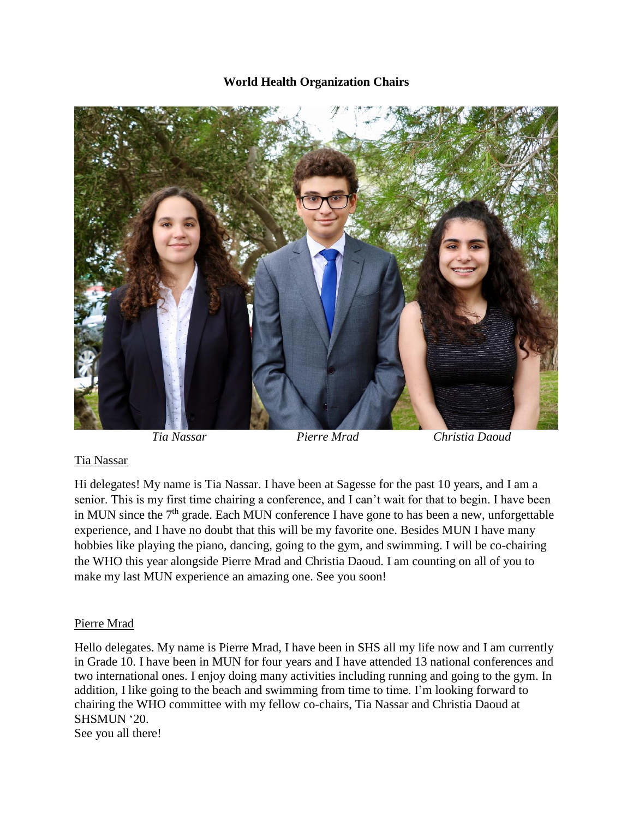## **World Health Organization Chairs**



 *Tia Nassar Pierre Mrad Christia Daoud*

## Tia Nassar

Hi delegates! My name is Tia Nassar. I have been at Sagesse for the past 10 years, and I am a senior. This is my first time chairing a conference, and I can't wait for that to begin. I have been in MUN since the  $7<sup>th</sup>$  grade. Each MUN conference I have gone to has been a new, unforgettable experience, and I have no doubt that this will be my favorite one. Besides MUN I have many hobbies like playing the piano, dancing, going to the gym, and swimming. I will be co-chairing the WHO this year alongside Pierre Mrad and Christia Daoud. I am counting on all of you to make my last MUN experience an amazing one. See you soon!

## Pierre Mrad

Hello delegates. My name is Pierre Mrad, I have been in SHS all my life now and I am currently in Grade 10. I have been in MUN for four years and I have attended 13 national conferences and two international ones. I enjoy doing many activities including running and going to the gym. In addition, I like going to the beach and swimming from time to time. I'm looking forward to chairing the WHO committee with my fellow co-chairs, Tia Nassar and Christia Daoud at SHSMUN '20.

See you all there!